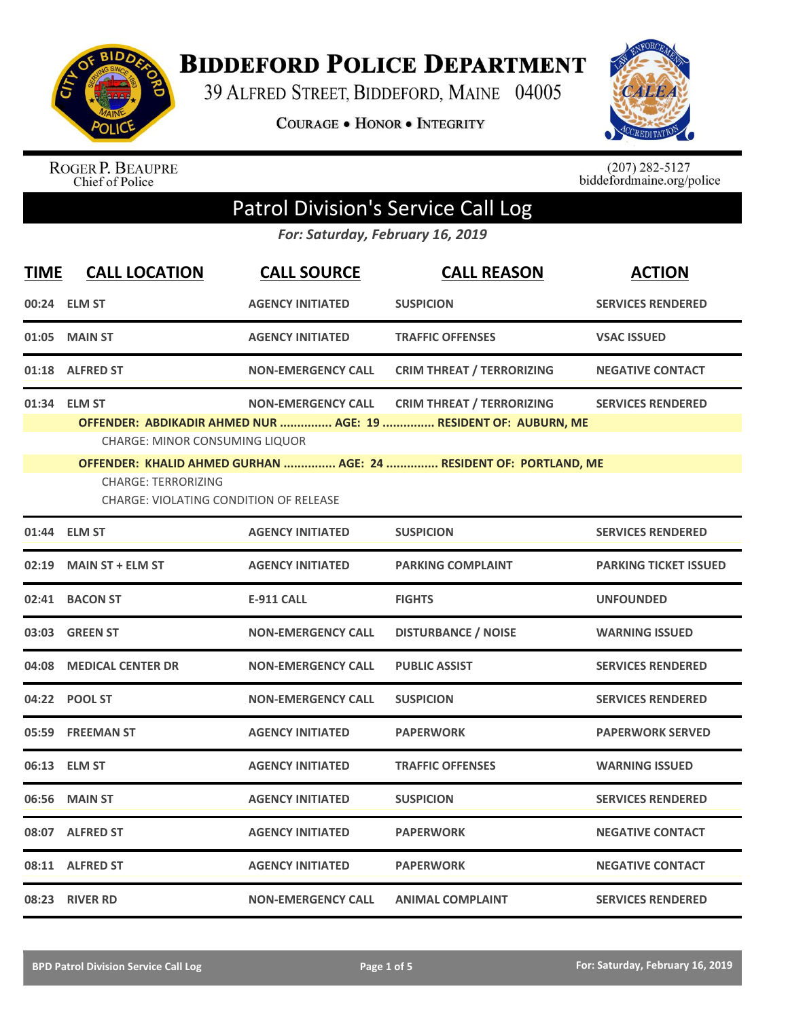

**BIDDEFORD POLICE DEPARTMENT** 

39 ALFRED STREET, BIDDEFORD, MAINE 04005

**COURAGE . HONOR . INTEGRITY** 



ROGER P. BEAUPRE<br>Chief of Police

 $(207)$  282-5127<br>biddefordmaine.org/police

## Patrol Division's Service Call Log

*For: Saturday, February 16, 2019*

| <b>TIME</b> | <b>CALL LOCATION</b>                                                                                                                 | <b>CALL SOURCE</b>        | <b>CALL REASON</b>                                                                                                                                                       | <b>ACTION</b>                |
|-------------|--------------------------------------------------------------------------------------------------------------------------------------|---------------------------|--------------------------------------------------------------------------------------------------------------------------------------------------------------------------|------------------------------|
|             | 00:24 ELM ST                                                                                                                         | <b>AGENCY INITIATED</b>   | <b>SUSPICION</b>                                                                                                                                                         | <b>SERVICES RENDERED</b>     |
| 01:05       | <b>MAIN ST</b>                                                                                                                       | <b>AGENCY INITIATED</b>   | <b>TRAFFIC OFFENSES</b>                                                                                                                                                  | <b>VSAC ISSUED</b>           |
|             | 01:18 ALFRED ST                                                                                                                      | <b>NON-EMERGENCY CALL</b> | <b>CRIM THREAT / TERRORIZING</b>                                                                                                                                         | <b>NEGATIVE CONTACT</b>      |
|             | 01:34 ELM ST<br><b>CHARGE: MINOR CONSUMING LIQUOR</b><br><b>CHARGE: TERRORIZING</b><br><b>CHARGE: VIOLATING CONDITION OF RELEASE</b> | <b>NON-EMERGENCY CALL</b> | <b>CRIM THREAT / TERRORIZING</b><br>OFFENDER: ABDIKADIR AHMED NUR  AGE: 19  RESIDENT OF: AUBURN, ME<br>OFFENDER: KHALID AHMED GURHAN  AGE: 24  RESIDENT OF: PORTLAND, ME | <b>SERVICES RENDERED</b>     |
|             | 01:44 ELM ST                                                                                                                         | <b>AGENCY INITIATED</b>   | <b>SUSPICION</b>                                                                                                                                                         | <b>SERVICES RENDERED</b>     |
| 02:19       | <b>MAIN ST + ELM ST</b>                                                                                                              | <b>AGENCY INITIATED</b>   | <b>PARKING COMPLAINT</b>                                                                                                                                                 | <b>PARKING TICKET ISSUED</b> |
|             | 02:41 BACON ST                                                                                                                       | <b>E-911 CALL</b>         | <b>FIGHTS</b>                                                                                                                                                            | <b>UNFOUNDED</b>             |
|             | 03:03 GREEN ST                                                                                                                       | <b>NON-EMERGENCY CALL</b> | <b>DISTURBANCE / NOISE</b>                                                                                                                                               | <b>WARNING ISSUED</b>        |
| 04:08       | <b>MEDICAL CENTER DR</b>                                                                                                             | <b>NON-EMERGENCY CALL</b> | <b>PUBLIC ASSIST</b>                                                                                                                                                     | <b>SERVICES RENDERED</b>     |
|             | 04:22 POOL ST                                                                                                                        | <b>NON-EMERGENCY CALL</b> | <b>SUSPICION</b>                                                                                                                                                         | <b>SERVICES RENDERED</b>     |
| 05:59       | <b>FREEMAN ST</b>                                                                                                                    | <b>AGENCY INITIATED</b>   | <b>PAPERWORK</b>                                                                                                                                                         | <b>PAPERWORK SERVED</b>      |
|             | 06:13 ELM ST                                                                                                                         | <b>AGENCY INITIATED</b>   | <b>TRAFFIC OFFENSES</b>                                                                                                                                                  | <b>WARNING ISSUED</b>        |
| 06:56       | <b>MAIN ST</b>                                                                                                                       | <b>AGENCY INITIATED</b>   | <b>SUSPICION</b>                                                                                                                                                         | <b>SERVICES RENDERED</b>     |
|             | 08:07 ALFRED ST                                                                                                                      | <b>AGENCY INITIATED</b>   | <b>PAPERWORK</b>                                                                                                                                                         | <b>NEGATIVE CONTACT</b>      |
|             | 08:11 ALFRED ST                                                                                                                      | <b>AGENCY INITIATED</b>   | <b>PAPERWORK</b>                                                                                                                                                         | <b>NEGATIVE CONTACT</b>      |
|             | 08:23 RIVER RD                                                                                                                       | <b>NON-EMERGENCY CALL</b> | <b>ANIMAL COMPLAINT</b>                                                                                                                                                  | <b>SERVICES RENDERED</b>     |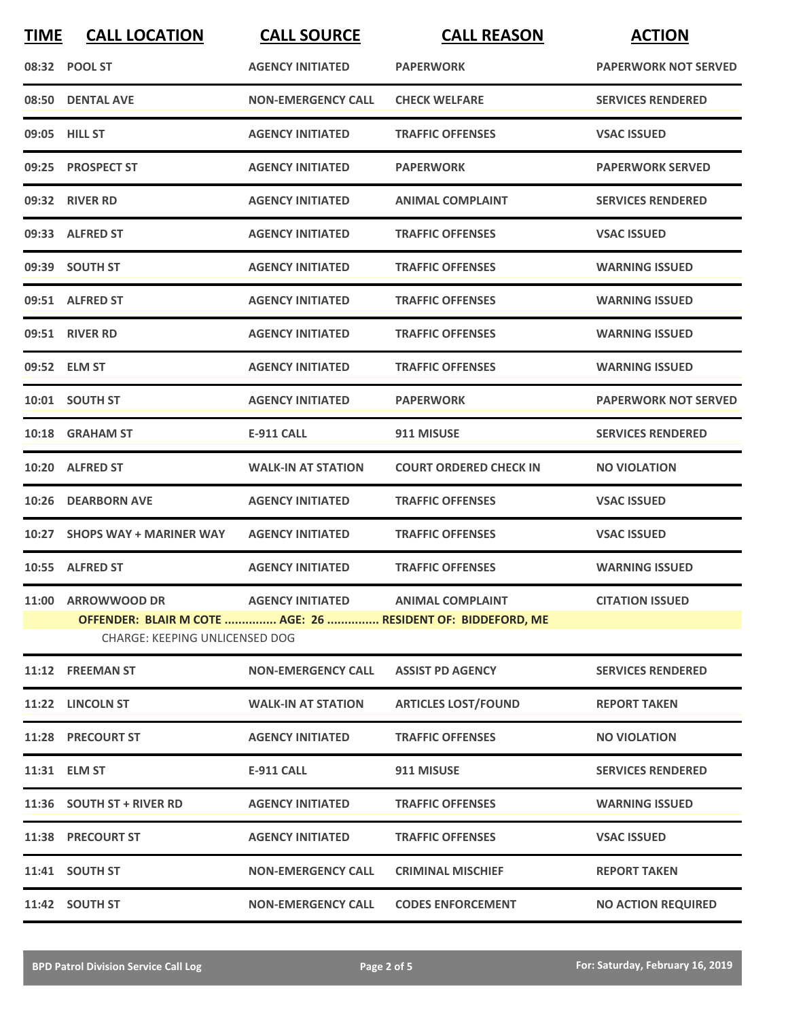| <b>TIME</b> | <b>CALL LOCATION</b>           | <b>CALL SOURCE</b>                | <b>CALL REASON</b>                                          | <b>ACTION</b>               |
|-------------|--------------------------------|-----------------------------------|-------------------------------------------------------------|-----------------------------|
|             | 08:32 POOL ST                  | <b>AGENCY INITIATED</b>           | <b>PAPERWORK</b>                                            | <b>PAPERWORK NOT SERVED</b> |
|             | 08:50 DENTAL AVE               | <b>NON-EMERGENCY CALL</b>         | <b>CHECK WELFARE</b>                                        | <b>SERVICES RENDERED</b>    |
|             | 09:05 HILL ST                  | <b>AGENCY INITIATED</b>           | <b>TRAFFIC OFFENSES</b>                                     | <b>VSAC ISSUED</b>          |
|             | 09:25 PROSPECT ST              | <b>AGENCY INITIATED</b>           | <b>PAPERWORK</b>                                            | <b>PAPERWORK SERVED</b>     |
|             | 09:32 RIVER RD                 | <b>AGENCY INITIATED</b>           | <b>ANIMAL COMPLAINT</b>                                     | <b>SERVICES RENDERED</b>    |
|             | 09:33 ALFRED ST                | <b>AGENCY INITIATED</b>           | <b>TRAFFIC OFFENSES</b>                                     | <b>VSAC ISSUED</b>          |
|             | 09:39 SOUTH ST                 | <b>AGENCY INITIATED</b>           | <b>TRAFFIC OFFENSES</b>                                     | <b>WARNING ISSUED</b>       |
|             | 09:51 ALFRED ST                | <b>AGENCY INITIATED</b>           | <b>TRAFFIC OFFENSES</b>                                     | <b>WARNING ISSUED</b>       |
|             | 09:51 RIVER RD                 | <b>AGENCY INITIATED</b>           | <b>TRAFFIC OFFENSES</b>                                     | <b>WARNING ISSUED</b>       |
|             | 09:52 ELM ST                   | <b>AGENCY INITIATED</b>           | <b>TRAFFIC OFFENSES</b>                                     | <b>WARNING ISSUED</b>       |
|             | 10:01 SOUTH ST                 | <b>AGENCY INITIATED</b>           | <b>PAPERWORK</b>                                            | <b>PAPERWORK NOT SERVED</b> |
|             | 10:18 GRAHAM ST                | <b>E-911 CALL</b>                 | 911 MISUSE                                                  | <b>SERVICES RENDERED</b>    |
|             | 10:20 ALFRED ST                | <b>WALK-IN AT STATION</b>         | <b>COURT ORDERED CHECK IN</b>                               | <b>NO VIOLATION</b>         |
| 10:26       | <b>DEARBORN AVE</b>            | <b>AGENCY INITIATED</b>           | <b>TRAFFIC OFFENSES</b>                                     | <b>VSAC ISSUED</b>          |
|             | 10:27 SHOPS WAY + MARINER WAY  | <b>AGENCY INITIATED</b>           | <b>TRAFFIC OFFENSES</b>                                     | <b>VSAC ISSUED</b>          |
|             | 10:55 ALFRED ST                | <b>AGENCY INITIATED</b>           | <b>TRAFFIC OFFENSES</b>                                     | <b>WARNING ISSUED</b>       |
|             | 11:00 ARROWWOOD DR             | AGENCY INITIATED ANIMAL COMPLAINT |                                                             | <b>CITATION ISSUED</b>      |
|             |                                |                                   | OFFENDER: BLAIR M COTE  AGE: 26  RESIDENT OF: BIDDEFORD, ME |                             |
|             | CHARGE: KEEPING UNLICENSED DOG |                                   |                                                             |                             |
|             | 11:12 FREEMAN ST               | <b>NON-EMERGENCY CALL</b>         | <b>ASSIST PD AGENCY</b>                                     | <b>SERVICES RENDERED</b>    |
|             | 11:22 LINCOLN ST               | <b>WALK-IN AT STATION</b>         | <b>ARTICLES LOST/FOUND</b>                                  | <b>REPORT TAKEN</b>         |
|             | 11:28 PRECOURT ST              | <b>AGENCY INITIATED</b>           | <b>TRAFFIC OFFENSES</b>                                     | <b>NO VIOLATION</b>         |
|             | 11:31 ELM ST                   | E-911 CALL                        | 911 MISUSE                                                  | <b>SERVICES RENDERED</b>    |
|             | 11:36 SOUTH ST + RIVER RD      | <b>AGENCY INITIATED</b>           | <b>TRAFFIC OFFENSES</b>                                     | <b>WARNING ISSUED</b>       |
|             | 11:38 PRECOURT ST              | <b>AGENCY INITIATED</b>           | <b>TRAFFIC OFFENSES</b>                                     | <b>VSAC ISSUED</b>          |
|             | 11:41 SOUTH ST                 | <b>NON-EMERGENCY CALL</b>         | <b>CRIMINAL MISCHIEF</b>                                    | <b>REPORT TAKEN</b>         |
|             | 11:42 SOUTH ST                 | <b>NON-EMERGENCY CALL</b>         | <b>CODES ENFORCEMENT</b>                                    | <b>NO ACTION REQUIRED</b>   |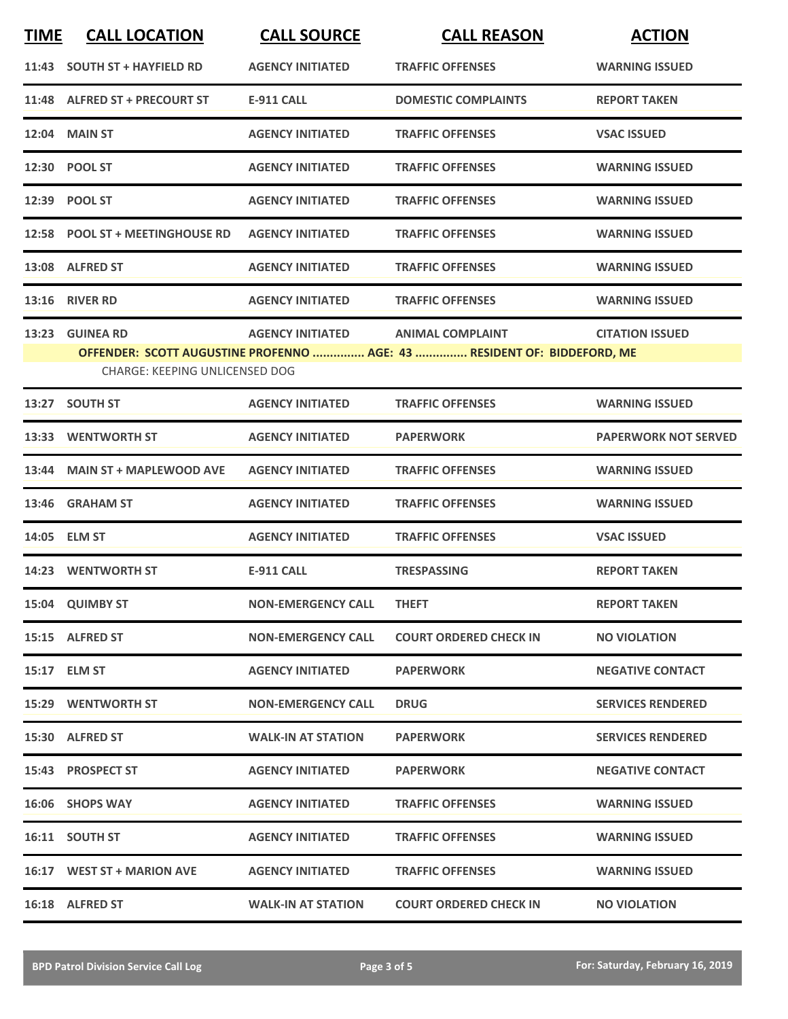| <b>TIME</b> | <b>CALL LOCATION</b>                                      | <b>CALL SOURCE</b>        | <b>CALL REASON</b>                                                                                 | <b>ACTION</b>               |
|-------------|-----------------------------------------------------------|---------------------------|----------------------------------------------------------------------------------------------------|-----------------------------|
|             | 11:43 SOUTH ST + HAYFIELD RD                              | <b>AGENCY INITIATED</b>   | <b>TRAFFIC OFFENSES</b>                                                                            | <b>WARNING ISSUED</b>       |
|             | 11:48 ALFRED ST + PRECOURT ST                             | <b>E-911 CALL</b>         | <b>DOMESTIC COMPLAINTS</b>                                                                         | <b>REPORT TAKEN</b>         |
|             | 12:04 MAIN ST                                             | <b>AGENCY INITIATED</b>   | <b>TRAFFIC OFFENSES</b>                                                                            | <b>VSAC ISSUED</b>          |
|             | 12:30 POOL ST                                             | <b>AGENCY INITIATED</b>   | <b>TRAFFIC OFFENSES</b>                                                                            | <b>WARNING ISSUED</b>       |
|             | 12:39 POOL ST                                             | <b>AGENCY INITIATED</b>   | <b>TRAFFIC OFFENSES</b>                                                                            | <b>WARNING ISSUED</b>       |
|             | 12:58 POOL ST + MEETINGHOUSE RD                           | <b>AGENCY INITIATED</b>   | <b>TRAFFIC OFFENSES</b>                                                                            | <b>WARNING ISSUED</b>       |
|             | 13:08 ALFRED ST                                           | <b>AGENCY INITIATED</b>   | <b>TRAFFIC OFFENSES</b>                                                                            | <b>WARNING ISSUED</b>       |
|             | <b>13:16 RIVER RD</b>                                     | <b>AGENCY INITIATED</b>   | <b>TRAFFIC OFFENSES</b>                                                                            | <b>WARNING ISSUED</b>       |
| 13:23       | <b>GUINEA RD</b><br><b>CHARGE: KEEPING UNLICENSED DOG</b> | <b>AGENCY INITIATED</b>   | <b>ANIMAL COMPLAINT</b><br>OFFENDER: SCOTT AUGUSTINE PROFENNO  AGE: 43  RESIDENT OF: BIDDEFORD, ME | <b>CITATION ISSUED</b>      |
| 13:27       | <b>SOUTH ST</b>                                           | <b>AGENCY INITIATED</b>   | <b>TRAFFIC OFFENSES</b>                                                                            | <b>WARNING ISSUED</b>       |
| 13:33       | <b>WENTWORTH ST</b>                                       | <b>AGENCY INITIATED</b>   | <b>PAPERWORK</b>                                                                                   | <b>PAPERWORK NOT SERVED</b> |
| 13:44       | <b>MAIN ST + MAPLEWOOD AVE</b>                            | <b>AGENCY INITIATED</b>   | <b>TRAFFIC OFFENSES</b>                                                                            | <b>WARNING ISSUED</b>       |
| 13:46       | <b>GRAHAM ST</b>                                          | <b>AGENCY INITIATED</b>   | <b>TRAFFIC OFFENSES</b>                                                                            | <b>WARNING ISSUED</b>       |
|             | 14:05 ELM ST                                              | <b>AGENCY INITIATED</b>   | <b>TRAFFIC OFFENSES</b>                                                                            | <b>VSAC ISSUED</b>          |
|             | 14:23 WENTWORTH ST                                        | <b>E-911 CALL</b>         | <b>TRESPASSING</b>                                                                                 | <b>REPORT TAKEN</b>         |
|             | 15:04 QUIMBY ST                                           | <b>NON-EMERGENCY CALL</b> | <b>THEFT</b>                                                                                       | <b>REPORT TAKEN</b>         |
|             | 15:15 ALFRED ST                                           | <b>NON-EMERGENCY CALL</b> | <b>COURT ORDERED CHECK IN</b>                                                                      | <b>NO VIOLATION</b>         |
|             | 15:17 ELM ST                                              | <b>AGENCY INITIATED</b>   | <b>PAPERWORK</b>                                                                                   | <b>NEGATIVE CONTACT</b>     |
|             | <b>15:29 WENTWORTH ST</b>                                 | <b>NON-EMERGENCY CALL</b> | <b>DRUG</b>                                                                                        | <b>SERVICES RENDERED</b>    |
|             | 15:30 ALFRED ST                                           | <b>WALK-IN AT STATION</b> | <b>PAPERWORK</b>                                                                                   | <b>SERVICES RENDERED</b>    |
|             | 15:43 PROSPECT ST                                         | <b>AGENCY INITIATED</b>   | <b>PAPERWORK</b>                                                                                   | <b>NEGATIVE CONTACT</b>     |
|             | 16:06 SHOPS WAY                                           | <b>AGENCY INITIATED</b>   | <b>TRAFFIC OFFENSES</b>                                                                            | <b>WARNING ISSUED</b>       |
|             | 16:11 SOUTH ST                                            | <b>AGENCY INITIATED</b>   | <b>TRAFFIC OFFENSES</b>                                                                            | <b>WARNING ISSUED</b>       |
|             | 16:17 WEST ST + MARION AVE                                | <b>AGENCY INITIATED</b>   | <b>TRAFFIC OFFENSES</b>                                                                            | <b>WARNING ISSUED</b>       |
|             | 16:18 ALFRED ST                                           | <b>WALK-IN AT STATION</b> | <b>COURT ORDERED CHECK IN</b>                                                                      | <b>NO VIOLATION</b>         |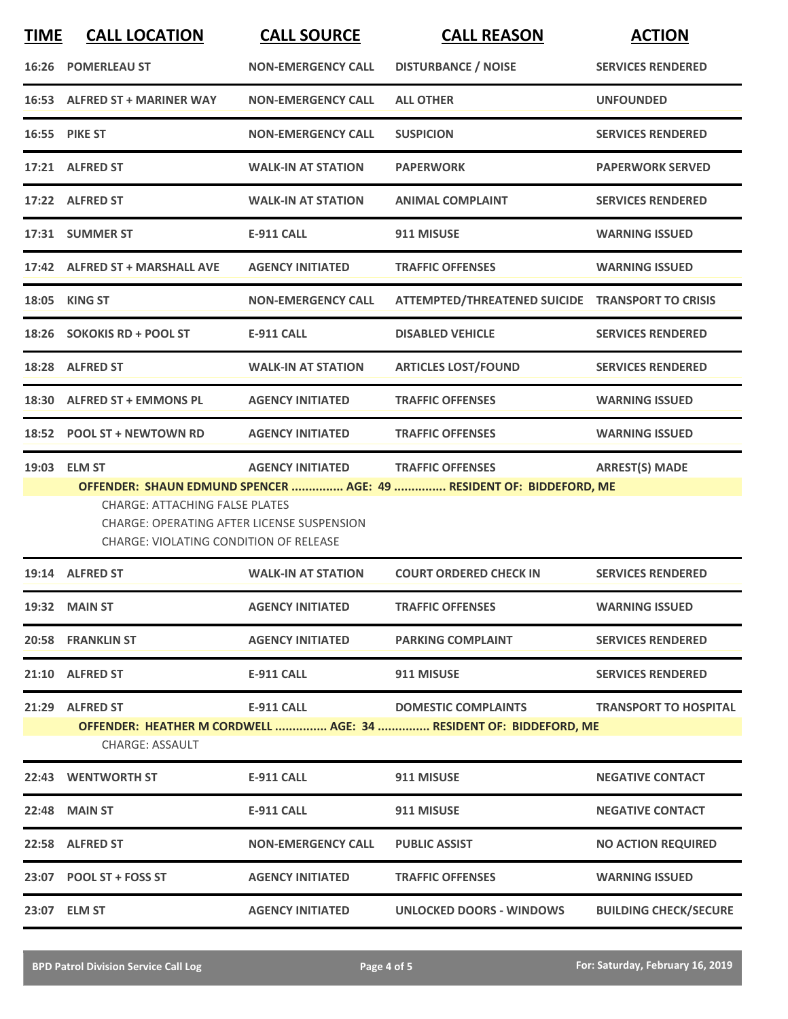| <b>TIME</b> | <b>CALL LOCATION</b>                                                                                                          | <b>CALL SOURCE</b>        | <b>CALL REASON</b>                                                                              | <b>ACTION</b>                |
|-------------|-------------------------------------------------------------------------------------------------------------------------------|---------------------------|-------------------------------------------------------------------------------------------------|------------------------------|
|             | <b>16:26 POMERLEAU ST</b>                                                                                                     | <b>NON-EMERGENCY CALL</b> | <b>DISTURBANCE / NOISE</b>                                                                      | <b>SERVICES RENDERED</b>     |
|             | 16:53 ALFRED ST + MARINER WAY                                                                                                 | <b>NON-EMERGENCY CALL</b> | <b>ALL OTHER</b>                                                                                | <b>UNFOUNDED</b>             |
|             | <b>16:55 PIKE ST</b>                                                                                                          | <b>NON-EMERGENCY CALL</b> | <b>SUSPICION</b>                                                                                | <b>SERVICES RENDERED</b>     |
|             | 17:21 ALFRED ST                                                                                                               | <b>WALK-IN AT STATION</b> | <b>PAPERWORK</b>                                                                                | <b>PAPERWORK SERVED</b>      |
|             | 17:22 ALFRED ST                                                                                                               | <b>WALK-IN AT STATION</b> | <b>ANIMAL COMPLAINT</b>                                                                         | <b>SERVICES RENDERED</b>     |
|             | 17:31 SUMMER ST                                                                                                               | <b>E-911 CALL</b>         | 911 MISUSE                                                                                      | <b>WARNING ISSUED</b>        |
|             | 17:42 ALFRED ST + MARSHALL AVE                                                                                                | <b>AGENCY INITIATED</b>   | <b>TRAFFIC OFFENSES</b>                                                                         | <b>WARNING ISSUED</b>        |
|             | 18:05 KING ST                                                                                                                 | <b>NON-EMERGENCY CALL</b> | ATTEMPTED/THREATENED SUICIDE TRANSPORT TO CRISIS                                                |                              |
|             | 18:26 SOKOKIS RD + POOL ST                                                                                                    | <b>E-911 CALL</b>         | <b>DISABLED VEHICLE</b>                                                                         | <b>SERVICES RENDERED</b>     |
|             | 18:28 ALFRED ST                                                                                                               | <b>WALK-IN AT STATION</b> | <b>ARTICLES LOST/FOUND</b>                                                                      | <b>SERVICES RENDERED</b>     |
|             | 18:30 ALFRED ST + EMMONS PL                                                                                                   | <b>AGENCY INITIATED</b>   | <b>TRAFFIC OFFENSES</b>                                                                         | <b>WARNING ISSUED</b>        |
|             | 18:52 POOL ST + NEWTOWN RD                                                                                                    | <b>AGENCY INITIATED</b>   | <b>TRAFFIC OFFENSES</b>                                                                         | <b>WARNING ISSUED</b>        |
|             | 19:03 ELM ST                                                                                                                  | <b>AGENCY INITIATED</b>   | <b>TRAFFIC OFFENSES</b>                                                                         | <b>ARREST(S) MADE</b>        |
|             | <b>CHARGE: ATTACHING FALSE PLATES</b><br>CHARGE: OPERATING AFTER LICENSE SUSPENSION<br>CHARGE: VIOLATING CONDITION OF RELEASE |                           | OFFENDER: SHAUN EDMUND SPENCER  AGE: 49  RESIDENT OF: BIDDEFORD, ME                             |                              |
|             | 19:14 ALFRED ST                                                                                                               | <b>WALK-IN AT STATION</b> | <b>COURT ORDERED CHECK IN</b>                                                                   | <b>SERVICES RENDERED</b>     |
|             | <b>19:32 MAIN ST</b>                                                                                                          | <b>AGENCY INITIATED</b>   | <b>TRAFFIC OFFENSES</b>                                                                         | <b>WARNING ISSUED</b>        |
|             | 20:58 FRANKLIN ST                                                                                                             | <b>AGENCY INITIATED</b>   | <b>PARKING COMPLAINT</b>                                                                        | <b>SERVICES RENDERED</b>     |
|             | 21:10 ALFRED ST                                                                                                               | <b>E-911 CALL</b>         | 911 MISUSE                                                                                      | <b>SERVICES RENDERED</b>     |
|             | 21:29 ALFRED ST<br><b>CHARGE: ASSAULT</b>                                                                                     | <b>E-911 CALL</b>         | <b>DOMESTIC COMPLAINTS</b><br>OFFENDER: HEATHER M CORDWELL  AGE: 34  RESIDENT OF: BIDDEFORD, ME | <b>TRANSPORT TO HOSPITAL</b> |
|             | 22:43 WENTWORTH ST                                                                                                            | <b>E-911 CALL</b>         | 911 MISUSE                                                                                      | <b>NEGATIVE CONTACT</b>      |
|             | 22:48 MAIN ST                                                                                                                 | <b>E-911 CALL</b>         | 911 MISUSE                                                                                      | <b>NEGATIVE CONTACT</b>      |
|             | 22:58 ALFRED ST                                                                                                               | <b>NON-EMERGENCY CALL</b> | <b>PUBLIC ASSIST</b>                                                                            | <b>NO ACTION REQUIRED</b>    |
|             | 23:07 POOL ST + FOSS ST                                                                                                       | <b>AGENCY INITIATED</b>   | <b>TRAFFIC OFFENSES</b>                                                                         | <b>WARNING ISSUED</b>        |
|             | 23:07 ELM ST                                                                                                                  | <b>AGENCY INITIATED</b>   | <b>UNLOCKED DOORS - WINDOWS</b>                                                                 | <b>BUILDING CHECK/SECURE</b> |